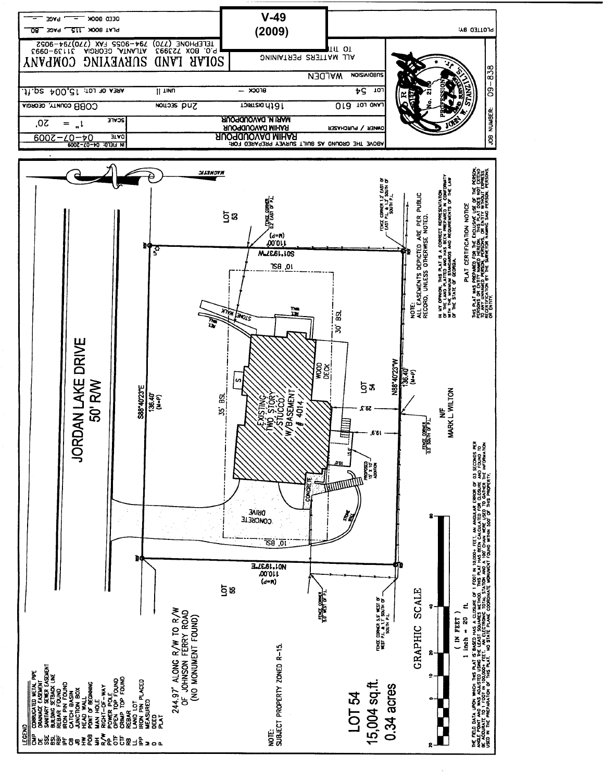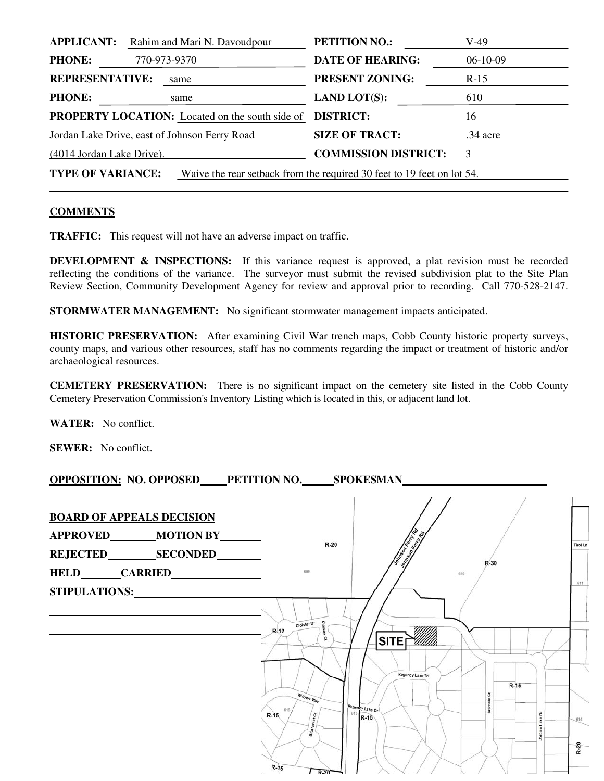| <b>PETITION NO.:</b>                                                                               | V-49                                                   |  |  |
|----------------------------------------------------------------------------------------------------|--------------------------------------------------------|--|--|
| <b>DATE OF HEARING:</b>                                                                            | $06-10-09$                                             |  |  |
| <b>PRESENT ZONING:</b>                                                                             | $R-15$                                                 |  |  |
| <b>LAND LOT(S):</b>                                                                                | 610                                                    |  |  |
| <b>DISTRICT:</b>                                                                                   | 16                                                     |  |  |
| <b>SIZE OF TRACT:</b>                                                                              | $.34$ acre                                             |  |  |
| <b>COMMISSION DISTRICT:</b>                                                                        | 3                                                      |  |  |
| <b>TYPE OF VARIANCE:</b><br>Waive the rear setback from the required 30 feet to 19 feet on lot 54. |                                                        |  |  |
|                                                                                                    | <b>PROPERTY LOCATION:</b> Located on the south side of |  |  |

## **COMMENTS**

**TRAFFIC:** This request will not have an adverse impact on traffic.

**DEVELOPMENT & INSPECTIONS:** If this variance request is approved, a plat revision must be recorded reflecting the conditions of the variance. The surveyor must submit the revised subdivision plat to the Site Plan Review Section, Community Development Agency for review and approval prior to recording. Call 770-528-2147.

**STORMWATER MANAGEMENT:** No significant stormwater management impacts anticipated.

**HISTORIC PRESERVATION:** After examining Civil War trench maps, Cobb County historic property surveys, county maps, and various other resources, staff has no comments regarding the impact or treatment of historic and/or archaeological resources.

**CEMETERY PRESERVATION:** There is no significant impact on the cemetery site listed in the Cobb County Cemetery Preservation Commission's Inventory Listing which is located in this, or adjacent land lot.

**WATER:** No conflict.

**SEWER:** No conflict.

**OPPOSITION: NO. OPPOSED PETITION NO. SPOKESMAN** 

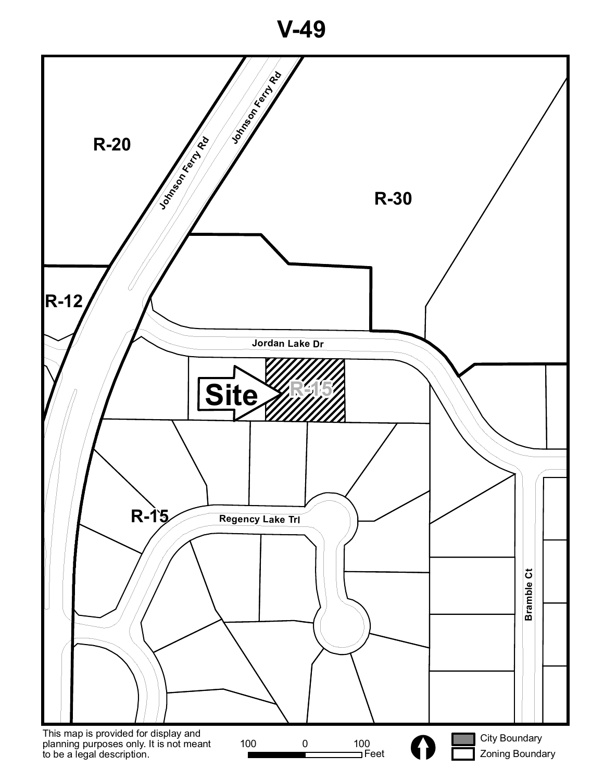**V-49**

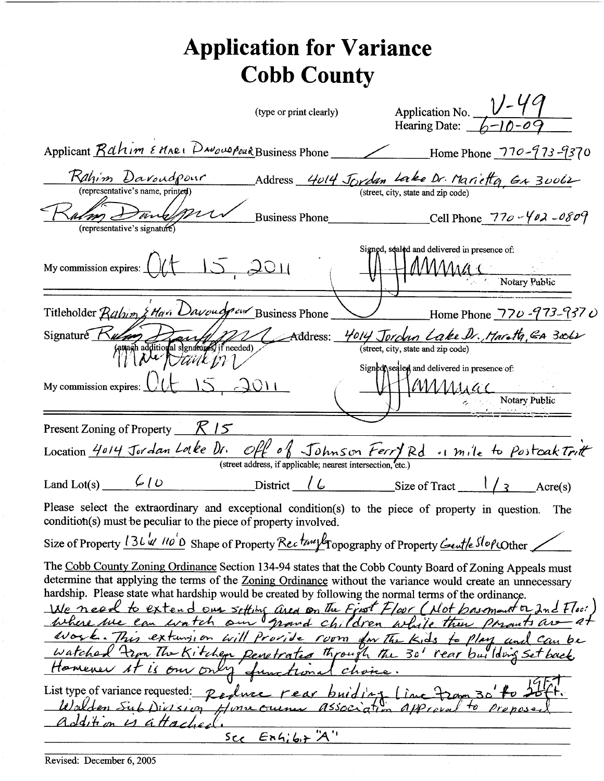## **Application for Variance Cobb County** Application No.  $V-\frac{V-49}{6-10-09}$ (type or print clearly) Applicant Rahim EMARI DNOWOPOUR Business Phone Home Phone 770-973-9370 Address 4014 Jordan Lake Dr. Marietto, Gr 30062 Rahim Davoudpour (representative's name, printed)  $n_{\mathcal{L}}$ Business Phone Cell Phone  $770 - 402 - 0809$ (representative's signature Signed, sealed and delivered in presence of: 12,2011 My commission expires: Notary Public Titleholder Rahim & Han Davouch our Business Phone Home Phone 770-973-9370 Signature Rum 4014 Jordun Lake Dr. Marath, GA 3062 Hans Hardwight Handle Hardwight (1) Address: (street, city, state and zip code) Signed sealed and delivered in presence of:  $O11$ MMssac My commission expires: Notary Public

|                   | Present Zoning of Property $K/S$                                                                                                                                                                                                                                                                                                                                                                                                                                                                                                                                                                                                               |                                                                                                                                                                                                                                                                                                             |  |          |  |
|-------------------|------------------------------------------------------------------------------------------------------------------------------------------------------------------------------------------------------------------------------------------------------------------------------------------------------------------------------------------------------------------------------------------------------------------------------------------------------------------------------------------------------------------------------------------------------------------------------------------------------------------------------------------------|-------------------------------------------------------------------------------------------------------------------------------------------------------------------------------------------------------------------------------------------------------------------------------------------------------------|--|----------|--|
|                   | Location 4014 Jordan Locke Dr. Off of Johnson Ferry Rd . mile to Postcak Tritt                                                                                                                                                                                                                                                                                                                                                                                                                                                                                                                                                                 |                                                                                                                                                                                                                                                                                                             |  |          |  |
|                   |                                                                                                                                                                                                                                                                                                                                                                                                                                                                                                                                                                                                                                                | (street address, if applicable; nearest intersection, etc.)                                                                                                                                                                                                                                                 |  |          |  |
| Land Lot(s) $600$ |                                                                                                                                                                                                                                                                                                                                                                                                                                                                                                                                                                                                                                                | District $\left\lfloor \frac{\ell}{2} \right\rfloor$ Size of Tract $\left\lfloor \frac{\ell}{3} \right\rfloor$                                                                                                                                                                                              |  | Arcre(s) |  |
|                   | Please select the extraordinary and exceptional condition(s) to the piece of property in question.<br>condition(s) must be peculiar to the piece of property involved.                                                                                                                                                                                                                                                                                                                                                                                                                                                                         |                                                                                                                                                                                                                                                                                                             |  | The      |  |
|                   | Size of Property 136 w 110'D Shape of Property Recture fropography of Property Centle SlopeOther                                                                                                                                                                                                                                                                                                                                                                                                                                                                                                                                               |                                                                                                                                                                                                                                                                                                             |  |          |  |
|                   | The Cobb County Zoning Ordinance Section 134-94 states that the Cobb County Board of Zoning Appeals must<br>determine that applying the terms of the Zoning Ordinance without the variance would create an unnecessary<br>hardship. Please state what hardship would be created by following the normal terms of the ordinance.<br>We need to extend our setting area on the First Floor (Not basement or Ind Floor<br>Where we can watch our grand children while then parants are at<br>Work. This extunsion will provide room for The Kids to Play and Can be<br>Watched From The Kitchen Renetrates through the 30' rear building set back |                                                                                                                                                                                                                                                                                                             |  |          |  |
|                   |                                                                                                                                                                                                                                                                                                                                                                                                                                                                                                                                                                                                                                                | $\mathbf{1}$ , $\mathbf{1}$ , $\mathbf{1}$ , $\mathbf{1}$ , $\mathbf{1}$ , $\mathbf{1}$ , $\mathbf{1}$ , $\mathbf{1}$ , $\mathbf{1}$ , $\mathbf{1}$ , $\mathbf{1}$ , $\mathbf{1}$ , $\mathbf{1}$ , $\mathbf{1}$ , $\mathbf{1}$ , $\mathbf{1}$ , $\mathbf{1}$ , $\mathbf{1}$ , $\mathbf{1}$ , $\mathbf{1}$ , |  |          |  |

 $R15$ 

List type of variance requested: Peolive rear buiding lime fram 30 <del>fo 25th.</del> is attached.  $EnAib + 'A'$  $s_{c,c}$